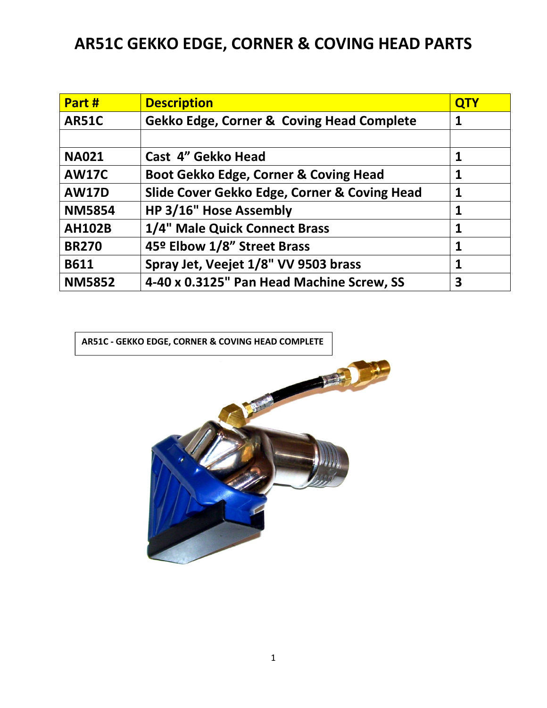## AR51C GEKKO EDGE, CORNER & COVING HEAD PARTS

| Part #        | <b>Description</b>                                   | <b>QTY</b>   |
|---------------|------------------------------------------------------|--------------|
| <b>AR51C</b>  | <b>Gekko Edge, Corner &amp; Coving Head Complete</b> | $\mathbf 1$  |
|               |                                                      |              |
| <b>NA021</b>  | Cast 4" Gekko Head                                   | 1            |
| <b>AW17C</b>  | Boot Gekko Edge, Corner & Coving Head                | 1            |
| <b>AW17D</b>  | Slide Cover Gekko Edge, Corner & Coving Head         | 1            |
| <b>NM5854</b> | HP 3/16" Hose Assembly                               | $\mathbf{1}$ |
| <b>AH102B</b> | 1/4" Male Quick Connect Brass                        | 1            |
| <b>BR270</b>  | 45º Elbow 1/8" Street Brass                          | 1            |
| <b>B611</b>   | Spray Jet, Veejet 1/8" VV 9503 brass                 | 1            |
| <b>NM5852</b> | 4-40 x 0.3125" Pan Head Machine Screw, SS            | 3            |

AR51C - GEKKO EDGE, CORNER & COVING HEAD COMPLETE

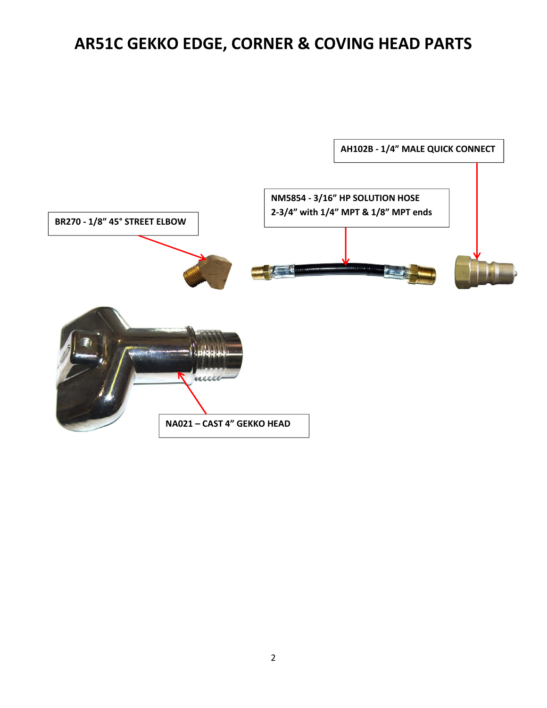## AR51C GEKKO EDGE, CORNER & COVING HEAD PARTS